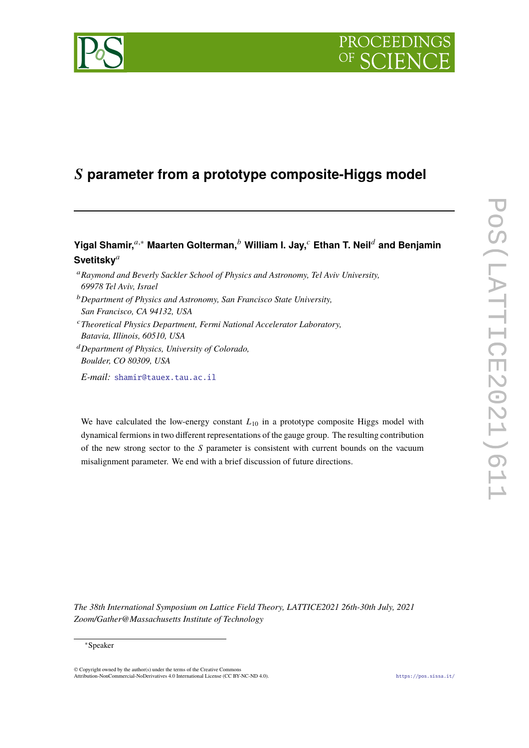# PROCEEDI



## 𝑺 **parameter from a prototype composite-Higgs model**

### **Yigal Shamir,**𝑎,<sup>∗</sup> **Maarten Golterman,**<sup>𝑏</sup> **William I. Jay,**<sup>𝑐</sup> **Ethan T. Neil**<sup>𝑑</sup> **and Benjamin** Svetitsky<sup>a</sup>

- <sup>a</sup> Raymond and Beverly Sackler School of Physics and Astronomy, Tel Aviv University, *69978 Tel Aviv, Israel*
- <sup>𝑏</sup>*Department of Physics and Astronomy, San Francisco State University, San Francisco, CA 94132, USA*
- <sup>𝑐</sup>*Theoretical Physics Department, Fermi National Accelerator Laboratory, Batavia, Illinois, 60510, USA*
- <sup>𝑑</sup>*Department of Physics, University of Colorado, Boulder, CO 80309, USA*

*E-mail:* [shamir@tauex.tau.ac.il](mailto:shamir@tauex.tau.ac.il)

We have calculated the low-energy constant  $L_{10}$  in a prototype composite Higgs model with dynamical fermions in two different representations of the gauge group. The resulting contribution of the new strong sector to the  $S$  parameter is consistent with current bounds on the vacuum misalignment parameter. We end with a brief discussion of future directions.

*The 38th International Symposium on Lattice Field Theory, LATTICE2021 26th-30th July, 2021 Zoom/Gather@Massachusetts Institute of Technology*

#### <sup>∗</sup>Speaker

© Copyright owned by the author(s) under the terms of the Creative Commons Attribution-NonCommercial-NoDerivatives 4.0 International License (CC BY-NC-ND 4.0). <https://pos.sissa.it/>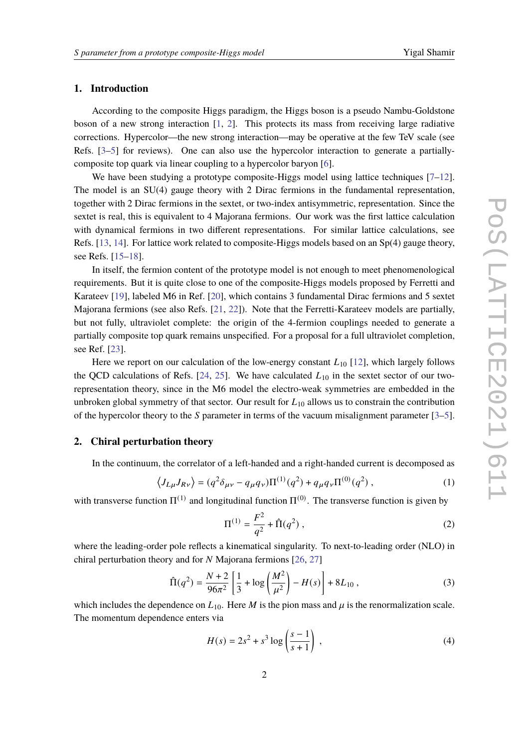#### **1. Introduction**

According to the composite Higgs paradigm, the Higgs boson is a pseudo Nambu-Goldstone boson of a new strong interaction  $[1, 2]$  $[1, 2]$  $[1, 2]$ . This protects its mass from receiving large radiative corrections. Hypercolor—the new strong interaction—may be operative at the few TeV scale (see Refs. [\[3–](#page-5-2)[5\]](#page-5-3) for reviews). One can also use the hypercolor interaction to generate a partiallycomposite top quark via linear coupling to a hypercolor baryon [\[6\]](#page-5-4).

We have been studying a prototype composite-Higgs model using lattice techniques  $[7-12]$  $[7-12]$ . The model is an SU(4) gauge theory with 2 Dirac fermions in the fundamental representation, together with 2 Dirac fermions in the sextet, or two-index antisymmetric, representation. Since the sextet is real, this is equivalent to 4 Majorana fermions. Our work was the first lattice calculation with dynamical fermions in two different representations. For similar lattice calculations, see Refs. [\[13,](#page-6-2) [14\]](#page-6-3). For lattice work related to composite-Higgs models based on an Sp(4) gauge theory, see Refs. [\[15](#page-6-4)[–18\]](#page-6-5).

In itself, the fermion content of the prototype model is not enough to meet phenomenological requirements. But it is quite close to one of the composite-Higgs models proposed by Ferretti and Karateev [\[19\]](#page-7-0), labeled M6 in Ref. [\[20\]](#page-7-1), which contains 3 fundamental Dirac fermions and 5 sextet Majorana fermions (see also Refs. [\[21,](#page-7-2) [22\]](#page-7-3)). Note that the Ferretti-Karateev models are partially, but not fully, ultraviolet complete: the origin of the 4-fermion couplings needed to generate a partially composite top quark remains unspecified. For a proposal for a full ultraviolet completion, see Ref. [\[23\]](#page-7-4).

Here we report on our calculation of the low-energy constant  $L_{10}$  [\[12\]](#page-6-1), which largely follows the QCD calculations of Refs. [\[24,](#page-7-5) [25\]](#page-7-6). We have calculated  $L_{10}$  in the sextet sector of our tworepresentation theory, since in the M6 model the electro-weak symmetries are embedded in the unbroken global symmetry of that sector. Our result for  $L_{10}$  allows us to constrain the contribution of the hypercolor theory to the S parameter in terms of the vacuum misalignment parameter  $[3-5]$  $[3-5]$ .

#### **2. Chiral perturbation theory**

In the continuum, the correlator of a left-handed and a right-handed current is decomposed as

$$
\langle J_{L\mu}J_{R\nu}\rangle = (q^2\delta_{\mu\nu} - q_{\mu}q_{\nu})\Pi^{(1)}(q^2) + q_{\mu}q_{\nu}\Pi^{(0)}(q^2) ,\qquad (1)
$$

with transverse function  $\Pi^{(1)}$  and longitudinal function  $\Pi^{(0)}$ . The transverse function is given by

<span id="page-1-0"></span>
$$
\Pi^{(1)} = \frac{F^2}{q^2} + \hat{\Pi}(q^2) ,
$$
 (2)

where the leading-order pole reflects a kinematical singularity. To next-to-leading order (NLO) in chiral perturbation theory and for  $N$  Majorana fermions [\[26,](#page-7-7) [27\]](#page-7-8)

<span id="page-1-1"></span>
$$
\hat{\Pi}(q^2) = \frac{N+2}{96\pi^2} \left[ \frac{1}{3} + \log \left( \frac{M^2}{\mu^2} \right) - H(s) \right] + 8L_{10} , \qquad (3)
$$

which includes the dependence on  $L_{10}$ . Here *M* is the pion mass and  $\mu$  is the renormalization scale. The momentum dependence enters via

$$
H(s) = 2s^2 + s^3 \log \left( \frac{s-1}{s+1} \right) ,\tag{4}
$$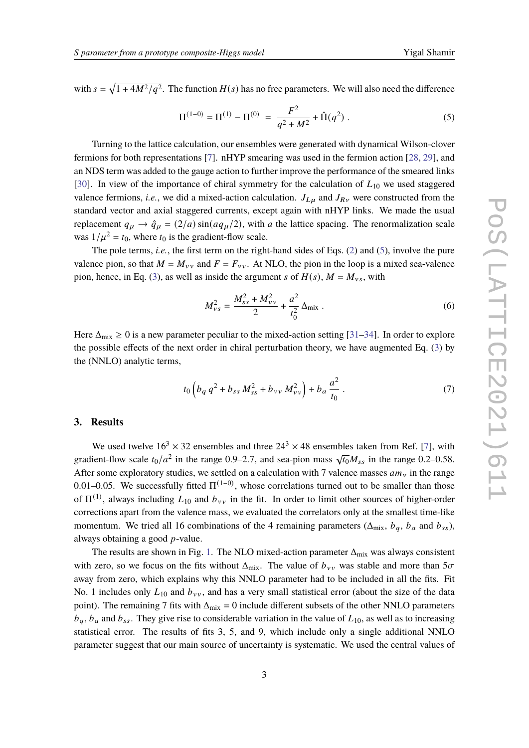with  $s = \sqrt{1 + 4M^2/q^2}$ . The function  $H(s)$  has no free parameters. We will also need the difference

<span id="page-2-0"></span>
$$
\Pi^{(1-0)} = \Pi^{(1)} - \Pi^{(0)} = \frac{F^2}{q^2 + M^2} + \hat{\Pi}(q^2) .
$$
 (5)

Turning to the lattice calculation, our ensembles were generated with dynamical Wilson-clover fermions for both representations [\[7\]](#page-6-0). nHYP smearing was used in the fermion action [\[28,](#page-7-9) [29\]](#page-7-10), and an NDS term was added to the gauge action to further improve the performance of the smeared links [\[30\]](#page-7-11). In view of the importance of chiral symmetry for the calculation of  $L_{10}$  we used staggered valence fermions, *i.e.*, we did a mixed-action calculation.  $J_{L\mu}$  and  $J_{R\nu}$  were constructed from the standard vector and axial staggered currents, except again with nHYP links. We made the usual replacement  $q_{\mu} \rightarrow \hat{q}_{\mu} = (2/a) \sin(a q_{\mu}/2)$ , with a the lattice spacing. The renormalization scale was  $1/\mu^2 = t_0$ , where  $t_0$  is the gradient-flow scale.

The pole terms, *i.e.*, the first term on the right-hand sides of Eqs. [\(2\)](#page-1-0) and [\(5\)](#page-2-0), involve the pure valence pion, so that  $M = M_{\nu\nu}$  and  $F = F_{\nu\nu}$ . At NLO, the pion in the loop is a mixed sea-valence pion, hence, in Eq. [\(3\)](#page-1-1), as well as inside the argument s of  $H(s)$ ,  $M = M_{vs}$ , with

$$
M_{vs}^2 = \frac{M_{ss}^2 + M_{vv}^2}{2} + \frac{a^2}{t_0^2} \Delta_{\text{mix}}.
$$
 (6)

Here  $\Delta_{\text{mix}} \ge 0$  is a new parameter peculiar to the mixed-action setting [\[31](#page-7-12)[–34\]](#page-8-0). In order to explore the possible effects of the next order in chiral perturbation theory, we have augmented Eq. [\(3\)](#page-1-1) by the (NNLO) analytic terms,

$$
t_0 \left( b_q q^2 + b_{ss} M_{ss}^2 + b_{vv} M_{vv}^2 \right) + b_a \frac{a^2}{t_0} \,. \tag{7}
$$

#### **3. Results**

We used twelve  $16^3 \times 32$  ensembles and three  $24^3 \times 48$  ensembles taken from Ref. [\[7\]](#page-6-0), with we used twere 10  $\pi$  52 ensembles and time  $24 \times 46$  ensembles taken from Ref. [7], while gradient-flow scale  $t_0/a^2$  in the range 0.9–2.7, and sea-pion mass  $\sqrt{t_0}M_{ss}$  in the range 0.2–0.58. After some exploratory studies, we settled on a calculation with 7 valence masses  $am_y$  in the range 0.01–0.05. We successfully fitted  $\Pi^{(1-0)}$ , whose correlations turned out to be smaller than those of  $\Pi^{(1)}$ , always including  $L_{10}$  and  $b_{vv}$  in the fit. In order to limit other sources of higher-order corrections apart from the valence mass, we evaluated the correlators only at the smallest time-like momentum. We tried all 16 combinations of the 4 remaining parameters ( $\Delta_{mix}$ ,  $b_q$ ,  $b_a$  and  $b_{ss}$ ), always obtaining a good  $p$ -value.

The results are shown in Fig. [1.](#page-3-0) The NLO mixed-action parameter  $\Delta_{mix}$  was always consistent with zero, so we focus on the fits without  $\Delta_{mix}$ . The value of  $b_{yy}$  was stable and more than  $5\sigma$ away from zero, which explains why this NNLO parameter had to be included in all the fits. Fit No. 1 includes only  $L_{10}$  and  $b_{yy}$ , and has a very small statistical error (about the size of the data point). The remaining 7 fits with  $\Delta_{mix} = 0$  include different subsets of the other NNLO parameters  $b_a$ ,  $b_a$  and  $b_{ss}$ . They give rise to considerable variation in the value of  $L_{10}$ , as well as to increasing statistical error. The results of fits 3, 5, and 9, which include only a single additional NNLO parameter suggest that our main source of uncertainty is systematic. We used the central values of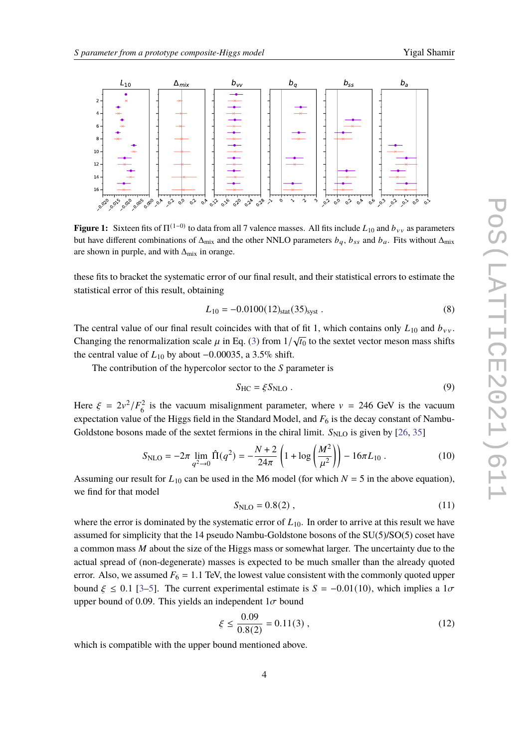<span id="page-3-0"></span>

**Figure 1:** Sixteen fits of  $\Pi^{(1-0)}$  to data from all 7 valence masses. All fits include  $L_{10}$  and  $b_{vv}$  as parameters but have different combinations of  $\Delta_{mix}$  and the other NNLO parameters  $b_q$ ,  $b_{ss}$  and  $b_q$ . Fits without  $\Delta_{mix}$ are shown in purple, and with  $\Delta_{mix}$  in orange.

these fits to bracket the systematic error of our final result, and their statistical errors to estimate the statistical error of this result, obtaining

$$
L_{10} = -0.0100(12)_{\text{stat}}(35)_{\text{syst}}\,. \tag{8}
$$

The central value of our final result coincides with that of fit 1, which contains only  $L_{10}$  and  $b_{yy}$ . Changing the renormalization scale  $\mu$  in Eq. [\(3\)](#page-1-1) from  $1/\sqrt{t_0}$  to the sextet vector meson mass shifts the central value of  $L_{10}$  by about  $-0.00035$ , a 3.5% shift.

The contribution of the hypercolor sector to the  $S$  parameter is

$$
S_{\rm HC} = \xi S_{\rm NLO} \,. \tag{9}
$$

Here  $\xi = 2v^2/F_6^2$  is the vacuum misalignment parameter, where  $v = 246$  GeV is the vacuum expectation value of the Higgs field in the Standard Model, and  $F_6$  is the decay constant of Nambu-Goldstone bosons made of the sextet fermions in the chiral limit.  $S_{NLO}$  is given by [\[26,](#page-7-7) [35\]](#page-8-1)

$$
S_{\rm NLO} = -2\pi \lim_{q^2 \to 0} \hat{\Pi}(q^2) = -\frac{N+2}{24\pi} \left( 1 + \log \left( \frac{M^2}{\mu^2} \right) \right) - 16\pi L_{10} \,. \tag{10}
$$

Assuming our result for  $L_{10}$  can be used in the M6 model (for which  $N = 5$  in the above equation), we find for that model

$$
S_{\rm NLO} = 0.8(2) , \t(11)
$$

where the error is dominated by the systematic error of  $L_{10}$ . In order to arrive at this result we have assumed for simplicity that the 14 pseudo Nambu-Goldstone bosons of the SU(5)/SO(5) coset have a common mass  $M$  about the size of the Higgs mass or somewhat larger. The uncertainty due to the actual spread of (non-degenerate) masses is expected to be much smaller than the already quoted error. Also, we assumed  $F_6 = 1.1$  TeV, the lowest value consistent with the commonly quoted upper bound  $\xi \le 0.1$  [\[3–](#page-5-2)[5\]](#page-5-3). The current experimental estimate is  $S = -0.01(10)$ , which implies a  $1\sigma$ upper bound of 0.09. This yields an independent  $1\sigma$  bound

$$
\xi \le \frac{0.09}{0.8(2)} = 0.11(3) ,\qquad (12)
$$

which is compatible with the upper bound mentioned above.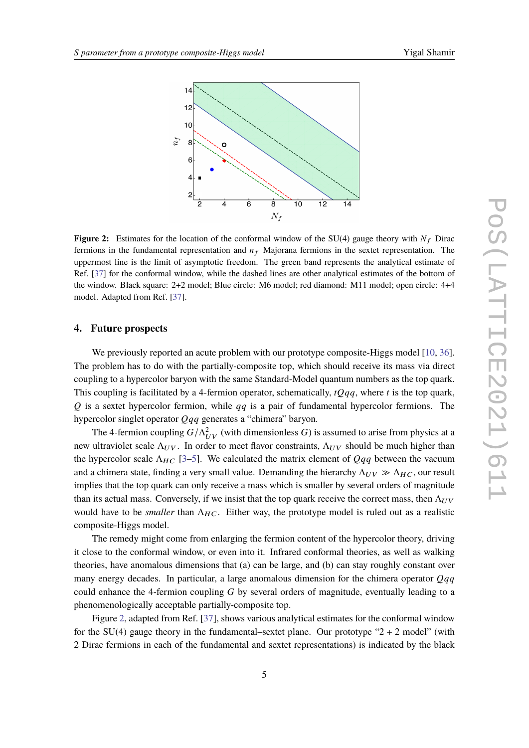<span id="page-4-0"></span>

**Figure 2:** Estimates for the location of the conformal window of the SU(4) gauge theory with  $N_f$  Dirac fermions in the fundamental representation and  $n_f$  Majorana fermions in the sextet representation. The uppermost line is the limit of asymptotic freedom. The green band represents the analytical estimate of Ref. [\[37\]](#page-8-2) for the conformal window, while the dashed lines are other analytical estimates of the bottom of the window. Black square: 2+2 model; Blue circle: M6 model; red diamond: M11 model; open circle: 4+4 model. Adapted from Ref. [\[37\]](#page-8-2).

#### **4. Future prospects**

We previously reported an acute problem with our prototype composite-Higgs model [\[10,](#page-6-6) [36\]](#page-8-3). The problem has to do with the partially-composite top, which should receive its mass via direct coupling to a hypercolor baryon with the same Standard-Model quantum numbers as the top quark. This coupling is facilitated by a 4-fermion operator, schematically,  $tQqq$ , where t is the top quark,  $Q$  is a sextet hypercolor fermion, while  $qq$  is a pair of fundamental hypercolor fermions. The hypercolor singlet operator  $Q_{qq}$  generates a "chimera" baryon.

The 4-fermion coupling  $G/\Lambda_{UV}^2$  (with dimensionless G) is assumed to arise from physics at a new ultraviolet scale  $Λ_{UV}$ . In order to meet flavor constraints,  $Λ_{UV}$  should be much higher than the hypercolor scale  $\Lambda_{HC}$  [\[3](#page-5-2)[–5\]](#page-5-3). We calculated the matrix element of  $Qqq$  between the vacuum and a chimera state, finding a very small value. Demanding the hierarchy  $\Lambda_{UV} \gg \Lambda_{HC}$ , our result implies that the top quark can only receive a mass which is smaller by several orders of magnitude than its actual mass. Conversely, if we insist that the top quark receive the correct mass, then  $\Lambda_{UV}$ would have to be *smaller* than Λ<sub>HC</sub>. Either way, the prototype model is ruled out as a realistic composite-Higgs model.

The remedy might come from enlarging the fermion content of the hypercolor theory, driving it close to the conformal window, or even into it. Infrared conformal theories, as well as walking theories, have anomalous dimensions that (a) can be large, and (b) can stay roughly constant over many energy decades. In particular, a large anomalous dimension for the chimera operator  $Oqa$ could enhance the 4-fermion coupling  $G$  by several orders of magnitude, eventually leading to a phenomenologically acceptable partially-composite top.

Figure [2,](#page-4-0) adapted from Ref. [\[37\]](#page-8-2), shows various analytical estimates for the conformal window for the SU(4) gauge theory in the fundamental–sextet plane. Our prototype " $2 + 2$  model" (with 2 Dirac fermions in each of the fundamental and sextet representations) is indicated by the black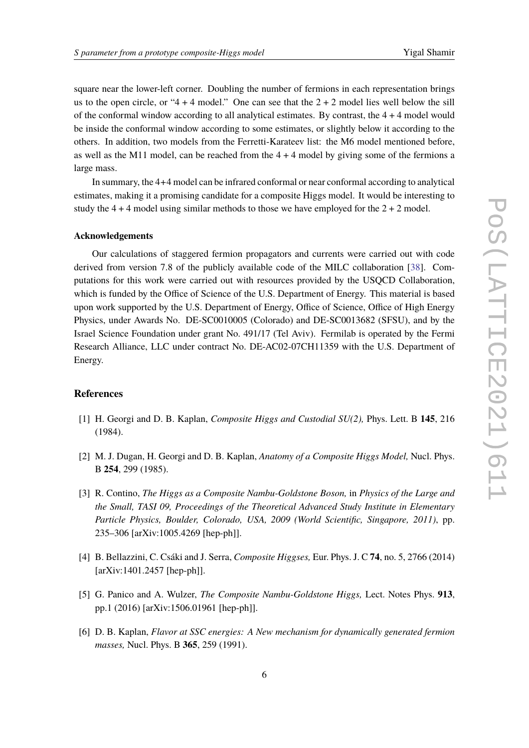square near the lower-left corner. Doubling the number of fermions in each representation brings us to the open circle, or "4 + 4 model." One can see that the  $2 + 2$  model lies well below the sill of the conformal window according to all analytical estimates. By contrast, the  $4 + 4$  model would be inside the conformal window according to some estimates, or slightly below it according to the others. In addition, two models from the Ferretti-Karateev list: the M6 model mentioned before, as well as the M11 model, can be reached from the  $4 + 4$  model by giving some of the fermions a large mass.

In summary, the 4+4 model can be infrared conformal or near conformal according to analytical estimates, making it a promising candidate for a composite Higgs model. It would be interesting to study the  $4 + 4$  model using similar methods to those we have employed for the  $2 + 2$  model.

#### **Acknowledgements**

Our calculations of staggered fermion propagators and currents were carried out with code derived from version 7.8 of the publicly available code of the MILC collaboration [\[38\]](#page-8-4). Computations for this work were carried out with resources provided by the USQCD Collaboration, which is funded by the Office of Science of the U.S. Department of Energy. This material is based upon work supported by the U.S. Department of Energy, Office of Science, Office of High Energy Physics, under Awards No. DE-SC0010005 (Colorado) and DE-SC0013682 (SFSU), and by the Israel Science Foundation under grant No. 491/17 (Tel Aviv). Fermilab is operated by the Fermi Research Alliance, LLC under contract No. DE-AC02-07CH11359 with the U.S. Department of Energy.

#### **References**

- <span id="page-5-0"></span>[1] H. Georgi and D. B. Kaplan, *Composite Higgs and Custodial SU(2),* Phys. Lett. B **145**, 216 (1984).
- <span id="page-5-1"></span>[2] M. J. Dugan, H. Georgi and D. B. Kaplan, *Anatomy of a Composite Higgs Model,* Nucl. Phys. B **254**, 299 (1985).
- <span id="page-5-2"></span>[3] R. Contino, *The Higgs as a Composite Nambu-Goldstone Boson,* in *Physics of the Large and the Small, TASI 09, Proceedings of the Theoretical Advanced Study Institute in Elementary Particle Physics, Boulder, Colorado, USA, 2009 (World Scientific, Singapore, 2011)*, pp. 235–306 [arXiv:1005.4269 [hep-ph]].
- [4] B. Bellazzini, C. Csáki and J. Serra, *Composite Higgses,* Eur. Phys. J. C **74**, no. 5, 2766 (2014) [arXiv:1401.2457 [hep-ph]].
- <span id="page-5-3"></span>[5] G. Panico and A. Wulzer, *The Composite Nambu-Goldstone Higgs,* Lect. Notes Phys. **913**, pp.1 (2016) [arXiv:1506.01961 [hep-ph]].
- <span id="page-5-4"></span>[6] D. B. Kaplan, *Flavor at SSC energies: A New mechanism for dynamically generated fermion masses,* Nucl. Phys. B **365**, 259 (1991).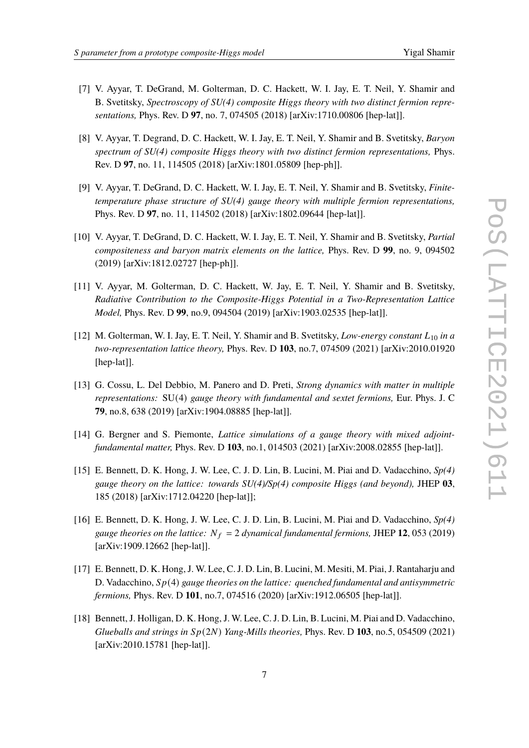- <span id="page-6-0"></span>[7] V. Ayyar, T. DeGrand, M. Golterman, D. C. Hackett, W. I. Jay, E. T. Neil, Y. Shamir and B. Svetitsky, *Spectroscopy of SU(4) composite Higgs theory with two distinct fermion representations,* Phys. Rev. D **97**, no. 7, 074505 (2018) [arXiv:1710.00806 [hep-lat]].
- [8] V. Ayyar, T. Degrand, D. C. Hackett, W. I. Jay, E. T. Neil, Y. Shamir and B. Svetitsky, *Baryon spectrum of SU(4) composite Higgs theory with two distinct fermion representations,* Phys. Rev. D **97**, no. 11, 114505 (2018) [arXiv:1801.05809 [hep-ph]].
- [9] V. Ayyar, T. DeGrand, D. C. Hackett, W. I. Jay, E. T. Neil, Y. Shamir and B. Svetitsky, *Finitetemperature phase structure of SU(4) gauge theory with multiple fermion representations,* Phys. Rev. D **97**, no. 11, 114502 (2018) [arXiv:1802.09644 [hep-lat]].
- <span id="page-6-6"></span>[10] V. Ayyar, T. DeGrand, D. C. Hackett, W. I. Jay, E. T. Neil, Y. Shamir and B. Svetitsky, *Partial compositeness and baryon matrix elements on the lattice,* Phys. Rev. D **99**, no. 9, 094502 (2019) [arXiv:1812.02727 [hep-ph]].
- [11] V. Ayyar, M. Golterman, D. C. Hackett, W. Jay, E. T. Neil, Y. Shamir and B. Svetitsky, *Radiative Contribution to the Composite-Higgs Potential in a Two-Representation Lattice Model,* Phys. Rev. D **99**, no.9, 094504 (2019) [arXiv:1903.02535 [hep-lat]].
- <span id="page-6-1"></span>[12] M. Golterman, W. I. Jay, E. T. Neil, Y. Shamir and B. Svetitsky, *Low-energy constant*  $L_{10}$  in a *two-representation lattice theory,* Phys. Rev. D **103**, no.7, 074509 (2021) [arXiv:2010.01920 [hep-lat]].
- <span id="page-6-2"></span>[13] G. Cossu, L. Del Debbio, M. Panero and D. Preti, *Strong dynamics with matter in multiple representations:* SU(4) *gauge theory with fundamental and sextet fermions,* Eur. Phys. J. C **79**, no.8, 638 (2019) [arXiv:1904.08885 [hep-lat]].
- <span id="page-6-3"></span>[14] G. Bergner and S. Piemonte, *Lattice simulations of a gauge theory with mixed adjointfundamental matter,* Phys. Rev. D **103**, no.1, 014503 (2021) [arXiv:2008.02855 [hep-lat]].
- <span id="page-6-4"></span>[15] E. Bennett, D. K. Hong, J. W. Lee, C. J. D. Lin, B. Lucini, M. Piai and D. Vadacchino, *Sp(4) gauge theory on the lattice: towards SU(4)/Sp(4) composite Higgs (and beyond),* JHEP **03**, 185 (2018) [arXiv:1712.04220 [hep-lat]];
- [16] E. Bennett, D. K. Hong, J. W. Lee, C. J. D. Lin, B. Lucini, M. Piai and D. Vadacchino, *Sp(4) gauge theories on the lattice:*  $N_f = 2$  *dynamical fundamental fermions, JHEP 12, 053 (2019)* [arXiv:1909.12662 [hep-lat]].
- [17] E. Bennett, D. K. Hong, J. W. Lee, C. J. D. Lin, B. Lucini, M. Mesiti, M. Piai, J. Rantaharju and D. Vadacchino,  $Sp(4)$  gauge theories on the lattice: quenched fundamental and antisymmetric *fermions,* Phys. Rev. D **101**, no.7, 074516 (2020) [arXiv:1912.06505 [hep-lat]].
- <span id="page-6-5"></span>[18] Bennett, J. Holligan, D. K. Hong, J. W. Lee, C. J. D. Lin, B. Lucini, M. Piai and D. Vadacchino, *Glueballs and strings in*  $Sp(2N)$  *Yang-Mills theories*, Phys. Rev. D 103, no.5, 054509 (2021) [arXiv:2010.15781 [hep-lat]].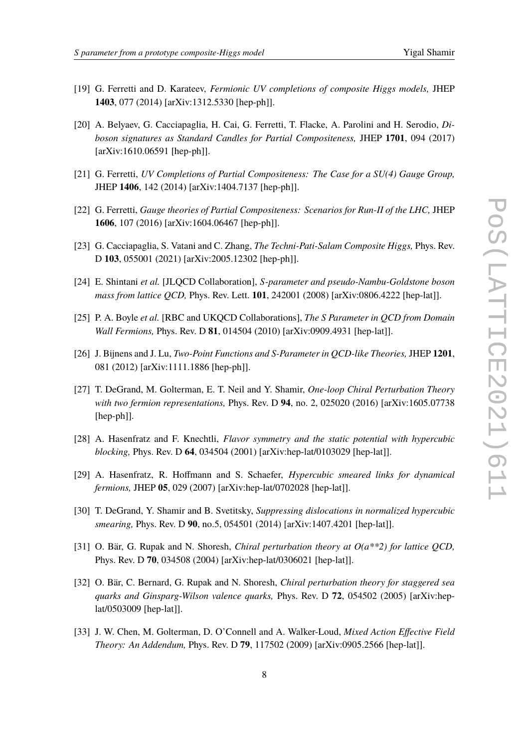- <span id="page-7-0"></span>[19] G. Ferretti and D. Karateev, *Fermionic UV completions of composite Higgs models,* JHEP **1403**, 077 (2014) [arXiv:1312.5330 [hep-ph]].
- <span id="page-7-1"></span>[20] A. Belyaev, G. Cacciapaglia, H. Cai, G. Ferretti, T. Flacke, A. Parolini and H. Serodio, *Diboson signatures as Standard Candles for Partial Compositeness,* JHEP **1701**, 094 (2017) [arXiv:1610.06591 [hep-ph]].
- <span id="page-7-2"></span>[21] G. Ferretti, *UV Completions of Partial Compositeness: The Case for a SU(4) Gauge Group,* JHEP **1406**, 142 (2014) [arXiv:1404.7137 [hep-ph]].
- <span id="page-7-3"></span>[22] G. Ferretti, *Gauge theories of Partial Compositeness: Scenarios for Run-II of the LHC,* JHEP **1606**, 107 (2016) [arXiv:1604.06467 [hep-ph]].
- <span id="page-7-4"></span>[23] G. Cacciapaglia, S. Vatani and C. Zhang, *The Techni-Pati-Salam Composite Higgs,* Phys. Rev. D **103**, 055001 (2021) [arXiv:2005.12302 [hep-ph]].
- <span id="page-7-5"></span>[24] E. Shintani *et al.* [JLQCD Collaboration], S-parameter and pseudo-Nambu-Goldstone boson *mass from lattice QCD,* Phys. Rev. Lett. **101**, 242001 (2008) [arXiv:0806.4222 [hep-lat]].
- <span id="page-7-6"></span>[25] P. A. Boyle *et al.* [RBC and UKQCD Collaborations], *The S Parameter in QCD from Domain Wall Fermions,* Phys. Rev. D **81**, 014504 (2010) [arXiv:0909.4931 [hep-lat]].
- <span id="page-7-7"></span>[26] J. Bijnens and J. Lu, *Two-Point Functions and S-Parameter in QCD-like Theories,* JHEP **1201**, 081 (2012) [arXiv:1111.1886 [hep-ph]].
- <span id="page-7-8"></span>[27] T. DeGrand, M. Golterman, E. T. Neil and Y. Shamir, *One-loop Chiral Perturbation Theory with two fermion representations,* Phys. Rev. D **94**, no. 2, 025020 (2016) [arXiv:1605.07738 [hep-ph]].
- <span id="page-7-9"></span>[28] A. Hasenfratz and F. Knechtli, *Flavor symmetry and the static potential with hypercubic blocking,* Phys. Rev. D **64**, 034504 (2001) [arXiv:hep-lat/0103029 [hep-lat]].
- <span id="page-7-10"></span>[29] A. Hasenfratz, R. Hoffmann and S. Schaefer, *Hypercubic smeared links for dynamical fermions,* JHEP **05**, 029 (2007) [arXiv:hep-lat/0702028 [hep-lat]].
- <span id="page-7-11"></span>[30] T. DeGrand, Y. Shamir and B. Svetitsky, *Suppressing dislocations in normalized hypercubic smearing,* Phys. Rev. D **90**, no.5, 054501 (2014) [arXiv:1407.4201 [hep-lat]].
- <span id="page-7-12"></span>[31] O. Bär, G. Rupak and N. Shoresh, *Chiral perturbation theory at O(a\*\*2) for lattice QCD,* Phys. Rev. D **70**, 034508 (2004) [arXiv:hep-lat/0306021 [hep-lat]].
- [32] O. Bär, C. Bernard, G. Rupak and N. Shoresh, *Chiral perturbation theory for staggered sea quarks and Ginsparg-Wilson valence quarks,* Phys. Rev. D **72**, 054502 (2005) [arXiv:heplat/0503009 [hep-lat]].
- [33] J. W. Chen, M. Golterman, D. O'Connell and A. Walker-Loud, *Mixed Action Effective Field Theory: An Addendum,* Phys. Rev. D **79**, 117502 (2009) [arXiv:0905.2566 [hep-lat]].